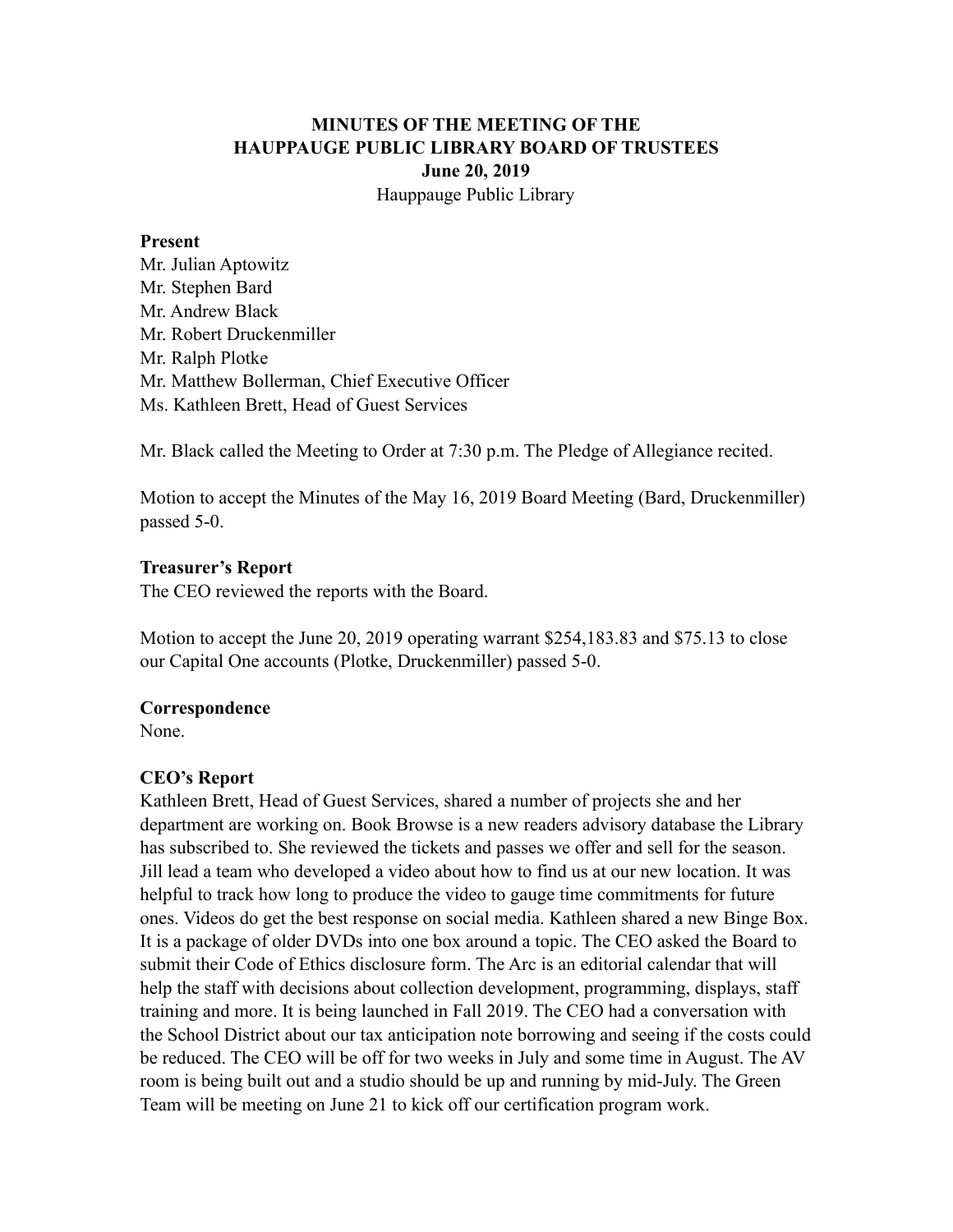## **MINUTES OF THE MEETING OF THE HAUPPAUGE PUBLIC LIBRARY BOARD OF TRUSTEES June 20, 2019** Hauppauge Public Library

#### **Present**

Mr. Julian Aptowitz Mr. Stephen Bard Mr. Andrew Black Mr. Robert Druckenmiller Mr. Ralph Plotke Mr. Matthew Bollerman, Chief Executive Officer Ms. Kathleen Brett, Head of Guest Services

Mr. Black called the Meeting to Order at 7:30 p.m. The Pledge of Allegiance recited.

Motion to accept the Minutes of the May 16, 2019 Board Meeting (Bard, Druckenmiller) passed 5-0.

### **Treasurer's Report**

The CEO reviewed the reports with the Board.

Motion to accept the June 20, 2019 operating warrant \$254,183.83 and \$75.13 to close our Capital One accounts (Plotke, Druckenmiller) passed 5-0.

### **Correspondence**

None.

## **CEO's Report**

Kathleen Brett, Head of Guest Services, shared a number of projects she and her department are working on. Book Browse is a new readers advisory database the Library has subscribed to. She reviewed the tickets and passes we offer and sell for the season. Jill lead a team who developed a video about how to find us at our new location. It was helpful to track how long to produce the video to gauge time commitments for future ones. Videos do get the best response on social media. Kathleen shared a new Binge Box. It is a package of older DVDs into one box around a topic. The CEO asked the Board to submit their Code of Ethics disclosure form. The Arc is an editorial calendar that will help the staff with decisions about collection development, programming, displays, staff training and more. It is being launched in Fall 2019. The CEO had a conversation with the School District about our tax anticipation note borrowing and seeing if the costs could be reduced. The CEO will be off for two weeks in July and some time in August. The AV room is being built out and a studio should be up and running by mid-July. The Green Team will be meeting on June 21 to kick off our certification program work.